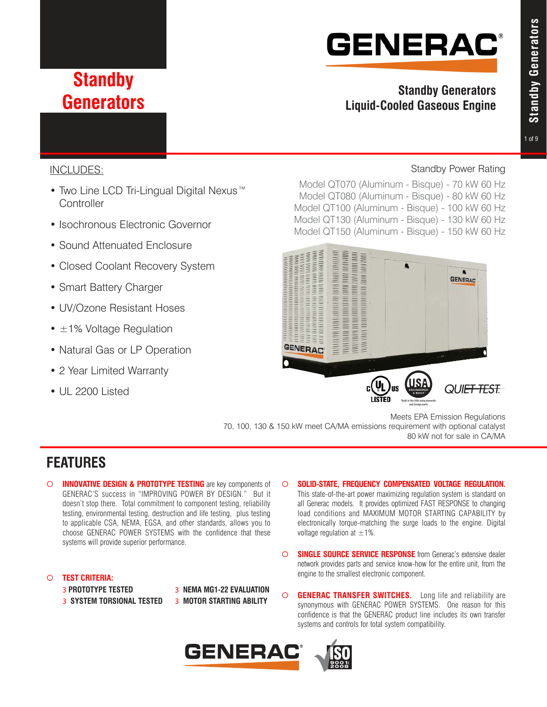# **GENERAC®**

## **Standby Generators**

### **Standby Generators Liquid-Cooled Gaseous Engine**

### INCLUDES:

- Two Line LCD Tri-Lingual Digital Nexus™ **Controller**
- Isochronous Electronic Governor
- Sound Attenuated Enclosure
- Closed Coolant Recovery System
- Smart Battery Charger
- UV/Ozone Resistant Hoses
- $\cdot$   $\pm$  1% Voltage Regulation
- Natural Gas or LP Operation
- 2 Year Limited Warranty
- UL 2200 Listed

### Standby Power Rating

Model QT070 (Aluminum - Bisque) - 70 kW 60 Hz Model QT080 (Aluminum - Bisque) - 80 kW 60 Hz Model QT100 (Aluminum - Bisque) - 100 kW 60 Hz Model QT130 (Aluminum - Bisque) - 130 kW 60 Hz Model QT150 (Aluminum - Bisque) - 150 kW 60 Hz



Meets EPA Emission Regulations 70, 100, 130 & 150 kW meet CA/MA emissions requirement with optional catalyst 80 kW not for sale in CA/MA

### **FEATURES**

**INNOVATIVE DESIGN & PROTOTYPE TESTING** are key components of GENERAC'S success in "IMPROVING POWER BY DESIGN." But it doesn't stop there. Total commitment to component testing, reliability testing, environmental testing, destruction and life testing, plus testing to applicable CSA, NEMA, EGSA, and other standards, allows you to choose GENERAC POWER SYSTEMS with the confidence that these systems will provide superior performance.

#### ¡ **TEST CRITERIA:**

3 **PROTOTYPE TESTED** 3 **NEMA MG1-22 EVALUATION** 3 **SYSTEM TORSIONAL TESTED** 3 **MOTOR STARTING ABILITY**

- ¡ **SOLID-STATE, FREQUENCY COMPENSATED VOLTAGE REGULATION.** This state-of-the-art power maximizing regulation system is standard on all Generac models. It provides optimized FAST RESPONSE to changing
	- load conditions and MAXIMUM MOTOR STARTING CAPABILITY by electronically torque-matching the surge loads to the engine. Digital voltage regulation at  $\pm 1\%$ .
- ¡ **SINGLE SOURCE SERVICE RESPONSE** from Generac's extensive dealer network provides parts and service know-how for the entire unit, from the engine to the smallest electronic component.
- $\circ$  **GENERAC TRANSFER SWITCHES.** Long life and reliability are synonymous with GENERAC POWER SYSTEMS. One reason for this confidence is that the GENERAC product line includes its own transfer systems and controls for total system compatibility.



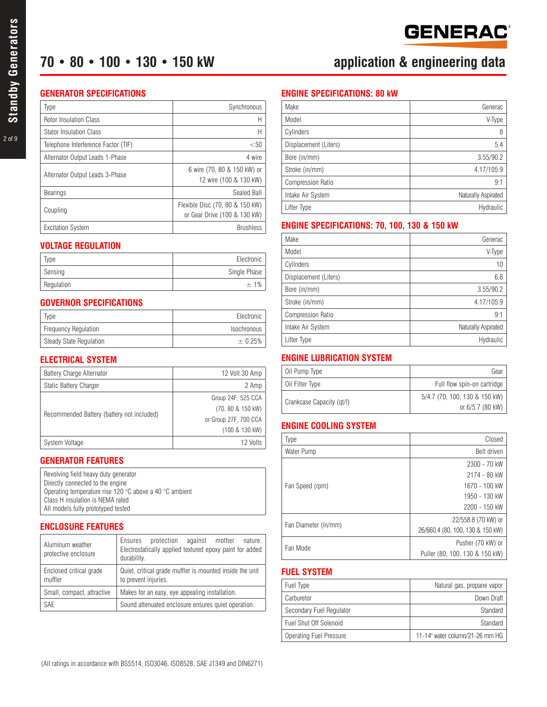#### **GENERATOR SPECIFICATIONS**

| Type                                | Synchronous                                                     |  |  |
|-------------------------------------|-----------------------------------------------------------------|--|--|
| <b>Rotor Insulation Class</b>       | Н                                                               |  |  |
| <b>Stator Insulation Class</b>      | Н                                                               |  |  |
| Telephone Interference Factor (TIF) |                                                                 |  |  |
| Alternator Output Leads 1-Phase     | 4 wire                                                          |  |  |
| Alternator Output Leads 3-Phase     | 6 wire (70, 80 & 150 kW) or<br>12 wire (100 & 130 kW)           |  |  |
| Bearings                            | Sealed Ball                                                     |  |  |
| Coupling                            | Flexible Disc (70, 80 & 150 kW)<br>or Gear Drive (100 & 130 kW) |  |  |
| <b>Excitation System</b>            | <b>Brushless</b>                                                |  |  |

#### **VOLTAGE REGULATION**

| Type       | Electronic   |
|------------|--------------|
| Sensing    | Single Phase |
| Regulation | $+1%$        |

#### **GOVERNOR SPECIFICATIONS**

| Type                        | Electronic  |
|-----------------------------|-------------|
| <b>Frequency Requlation</b> | Isochronous |
| Steady State Regulation     | $\pm 0.25%$ |

#### **ELECTRICAL SYSTEM**

| <b>Battery Charge Alternator</b>           | 12 Volt 30 Amp        |  |  |
|--------------------------------------------|-----------------------|--|--|
| Static Battery Charger                     | 2 Amp                 |  |  |
| Recommended Battery (battery not included) | Group 24F, 525 CCA    |  |  |
|                                            | (70, 80 & 150 kW)     |  |  |
|                                            | or Group 27F, 700 CCA |  |  |
|                                            | (100 & 130 kW)        |  |  |
| System Voltage                             | 12 Volts              |  |  |

#### **GENERATOR FEATURES**

| Revolving field heavy duty generator                    |
|---------------------------------------------------------|
| Directly connected to the engine                        |
| Operating temperature rise 120 °C above a 40 °C ambient |
| Class H insulation is NEMA rated                        |
| All models fully prototyped tested                      |

#### **ENCLOSURE FEATURES**

| Aluminum weather<br>protective enclosure | protection against mother nature.<br>Ensures<br>Electrostatically applied textured epoxy paint for added<br>durability. |  |  |
|------------------------------------------|-------------------------------------------------------------------------------------------------------------------------|--|--|
| Enclosed critical grade<br>muffler       | Quiet, critical grade muffler is mounted inside the unit<br>to prevent injuries.                                        |  |  |
| Small, compact, attractive               | Makes for an easy, eye appealing installation.                                                                          |  |  |
| <b>SAE</b>                               | Sound attenuated enclosure ensures quiet operation.                                                                     |  |  |

#### **ENGINE SPECIFICATIONS: 80 kW**

| Make                     | Generac             |
|--------------------------|---------------------|
| Model                    | V-Type              |
| Cylinders                | 8                   |
| Displacement (Liters)    | 5.4                 |
| Bore (in/mm)             | 3.55/90.2           |
| Stroke (in/mm)           | 4.17/105.9          |
| <b>Compression Ratio</b> | 9:1                 |
| Intake Air System        | Naturally Aspirated |
| Lifter Type              | Hydraulic           |

#### **ENGINE SPECIFICATIONS: 70, 100, 130 & 150 kW**

| Make                     | Generac             |
|--------------------------|---------------------|
| Model                    | V-Type              |
| Cylinders                | 10                  |
| Displacement (Liters)    | 6.8                 |
| Bore (in/mm)             | 3.55/90.2           |
| Stroke (in/mm)           | 4.17/105.9          |
| <b>Compression Ratio</b> | 9:1                 |
| Intake Air System        | Naturally Aspirated |
| Lifter Type              | Hydraulic           |

### **ENGINE LUBRICATION SYSTEM**

| Oil Pump Type             | Gear                          |
|---------------------------|-------------------------------|
| Oil Filter Type           | Full flow spin-on cartridge   |
| Crankcase Capacity (qt/l) | 5/4.7 (70, 100, 130 & 150 kW) |
|                           | or 6/5.7 (80 kW)              |

#### **ENGINE COOLING SYSTEM**

| Type                 | Closed                           |  |  |
|----------------------|----------------------------------|--|--|
| Water Pump           | Belt driven                      |  |  |
|                      | 2300 - 70 kW                     |  |  |
| Fan Speed (rpm)      | 2174 - 80 kW                     |  |  |
|                      | 1670 - 100 kW                    |  |  |
|                      | 1950 - 130 kW                    |  |  |
|                      | 2200 - 150 kW                    |  |  |
|                      | 22/558.8 (70 kW) or              |  |  |
| Fan Diameter (in/mm) | 26/660.4 (80, 100, 130 & 150 kW) |  |  |
|                      | Pusher (70 kW) or                |  |  |
| Fan Mode             | Puller (80, 100, 130 & 150 kW)   |  |  |

#### **FUEL SYSTEM**

| Fuel Type                | Natural gas, propane vapor      |
|--------------------------|---------------------------------|
| Carburetor               | Down Draft                      |
| Secondary Fuel Regulator | Standard                        |
| Fuel Shut Off Solenoid   | Standard                        |
| Operating Fuel Pressure  | 11-14" water column/21-26 mm HG |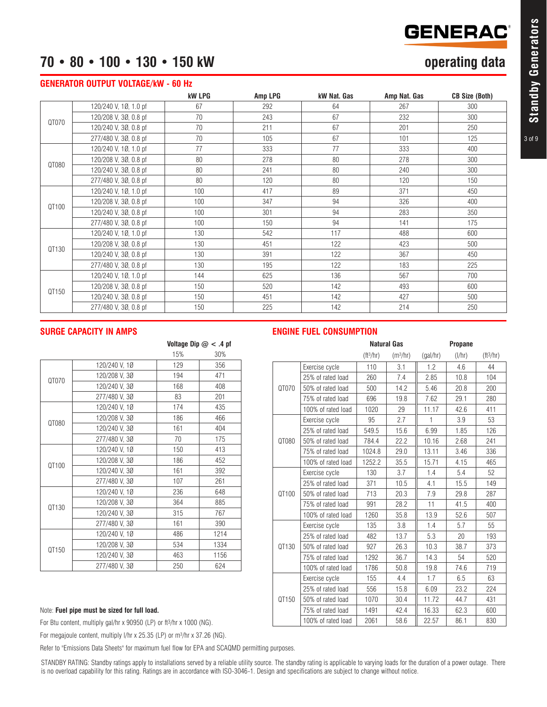## **GENERAC®**

### **70 • 80 • 100 • 130 • 150 kW operating data**

#### **GENERATOR OUTPUT VOLTAGE/kW - 60 Hz**

|       |                       | <b>kW LPG</b> | Amp LPG | kW Nat. Gas | Amp Nat. Gas | <b>CB Size (Both)</b> |
|-------|-----------------------|---------------|---------|-------------|--------------|-----------------------|
| QT070 | 120/240 V, 10, 1.0 pf | 67            | 292     | 64          | 267          | 300                   |
|       | 120/208 V, 30, 0.8 pf | 70            | 243     | 67          | 232          | 300                   |
|       | 120/240 V, 30, 0.8 pf | 70            | 211     | 67          | 201          | 250                   |
|       | 277/480 V, 30, 0.8 pf | 70            | 105     | 67          | 101          | 125                   |
|       | 120/240 V, 10, 1.0 pf | 77            | 333     | 77          | 333          | 400                   |
| QT080 | 120/208 V, 30, 0.8 pf | 80            | 278     | 80          | 278          | 300                   |
|       | 120/240 V, 30, 0.8 pf | 80            | 241     | 80          | 240          | 300                   |
|       | 277/480 V, 30, 0.8 pf | 80            | 120     | 80          | 120          | 150                   |
|       | 120/240 V, 10, 1.0 pf | 100           | 417     | 89          | 371          | 450                   |
| QT100 | 120/208 V, 30, 0.8 pf | 100           | 347     | 94          | 326          | 400                   |
|       | 120/240 V, 30, 0.8 pf | 100           | 301     | 94          | 283          | 350                   |
|       | 277/480 V, 30, 0.8 pf | 100           | 150     | 94          | 141          | 175                   |
|       | 120/240 V, 10, 1.0 pf | 130           | 542     | 117         | 488          | 600                   |
|       | 120/208 V, 30, 0.8 pf | 130           | 451     | 122         | 423          | 500                   |
| QT130 | 120/240 V, 30, 0.8 pf | 130           | 391     | 122         | 367          | 450                   |
|       | 277/480 V, 30, 0.8 pf | 130           | 195     | 122         | 183          | 225                   |
|       | 120/240 V, 10, 1.0 pf | 144           | 625     | 136         | 567          | 700                   |
| QT150 | 120/208 V, 30, 0.8 pf | 150           | 520     | 142         | 493          | 600                   |
|       | 120/240 V, 30, 0.8 pf | 150           | 451     | 142         | 427          | 500                   |
|       | 277/480 V, 30, 0.8 pf | 150           | 225     | 142         | 214          | 250                   |

#### **SURGE CAPACITY IN AMPS**

|       |               |     | Voltage Dip $@<.4$ pf |
|-------|---------------|-----|-----------------------|
|       |               | 15% | 30%                   |
|       | 120/240 V, 10 | 129 | 356                   |
| QT070 | 120/208 V, 3Ø | 194 | 471                   |
|       | 120/240 V, 3Ø | 168 | 408                   |
|       | 277/480 V, 30 | 83  | 201                   |
|       | 120/240 V, 10 | 174 | 435                   |
| QT080 | 120/208 V, 30 | 186 | 466                   |
|       | 120/240 V, 30 | 161 | 404                   |
|       | 277/480 V, 30 | 70  | 175                   |
|       | 120/240 V, 10 | 150 | 413                   |
| QT100 | 120/208 V, 3Ø | 186 | 452                   |
|       | 120/240 V, 30 | 161 | 392                   |
|       | 277/480 V, 30 | 107 | 261                   |
|       | 120/240 V, 10 | 236 | 648                   |
| QT130 | 120/208 V, 3Ø | 364 | 885                   |
|       | 120/240 V, 30 | 315 | 767                   |
|       | 277/480 V, 3Ø | 161 | 390                   |
| QT150 | 120/240 V, 10 | 486 | 1214                  |
|       | 120/208 V, 30 | 534 | 1334                  |
|       | 120/240 V, 30 | 463 | 1156                  |
|       | 277/480 V, 30 | 250 | 624                   |

#### **ENGINE FUEL CONSUMPTION**

|       | <b>Natural Gas</b> |             | <b>Propane</b>       |          |               |             |
|-------|--------------------|-------------|----------------------|----------|---------------|-------------|
|       |                    | $(tt^3/hr)$ | (m <sup>3</sup> /hr) | (gal/hr) | $\frac{1}{h}$ | $(tt^3/hr)$ |
|       | Exercise cycle     | 110         | 3.1                  | 1.2      | 4.6           | 44          |
|       | 25% of rated load  | 260         | 7.4                  | 2.85     | 10.8          | 104         |
| QT070 | 50% of rated load  | 500         | 14.2                 | 5.46     | 20.8          | 200         |
|       | 75% of rated load  | 696         | 19.8                 | 7.62     | 29.1          | 280         |
|       | 100% of rated load | 1020        | 29                   | 11.17    | 42.6          | 411         |
|       | Exercise cycle     | 95          | 2.7                  | 1        | 3.9           | 53          |
|       | 25% of rated load  | 549.5       | 15.6                 | 6.99     | 1.85          | 126         |
| QT080 | 50% of rated load  | 784.4       | 22.2                 | 10.16    | 2.68          | 241         |
|       | 75% of rated load  | 1024.8      | 29.0                 | 13.11    | 3.46          | 336         |
|       | 100% of rated load | 1252.2      | 35.5                 | 15.71    | 4.15          | 465         |
|       | Exercise cycle     | 130         | 3.7                  | 1.4      | 5.4           | 52          |
| QT100 | 25% of rated load  | 371         | 10.5                 | 4.1      | 15.5          | 149         |
|       | 50% of rated load  | 713         | 20.3                 | 7.9      | 29.8          | 287         |
|       | 75% of rated load  | 991         | 28.2                 | 11       | 41.5          | 400         |
|       | 100% of rated load | 1260        | 35.8                 | 13.9     | 52.6          | 507         |
|       | Exercise cycle     | 135         | 3.8                  | 1.4      | 5.7           | 55          |
|       | 25% of rated load  | 482         | 13.7                 | 5.3      | 20            | 193         |
| QT130 | 50% of rated load  | 927         | 26.3                 | 10.3     | 38.7          | 373         |
|       | 75% of rated load  | 1292        | 36.7                 | 14.3     | 54            | 520         |
|       | 100% of rated load | 1786        | 50.8                 | 19.8     | 74.6          | 719         |
| QT150 | Exercise cycle     | 155         | 4.4                  | 1.7      | 6.5           | 63          |
|       | 25% of rated load  | 556         | 15.8                 | 6.09     | 23.2          | 224         |
|       | 50% of rated load  | 1070        | 30.4                 | 11.72    | 44.7          | 431         |
|       | 75% of rated load  | 1491        | 42.4                 | 16.33    | 62.3          | 600         |
|       | 100% of rated load | 2061        | 58.6                 | 22.57    | 86.1          | 830         |

#### Note: **Fuel pipe must be sized for full load.**

For Btu content, multiply gal/hr x 90950 (LP) or ft3/hr x 1000 (NG).

For megajoule content, multiply I/hr x 25.35 (LP) or m<sup>3</sup>/hr x 37.26 (NG).

Refer to "Emissions Data Sheets" for maximum fuel flow for EPA and SCAQMD permitting purposes.

STANDBY RATING: Standby ratings apply to installations served by a reliable utility source. The standby rating is applicable to varying loads for the duration of a power outage. There is no overload capability for this rating. Ratings are in accordance with ISO-3046-1. Design and specifications are subject to change without notice.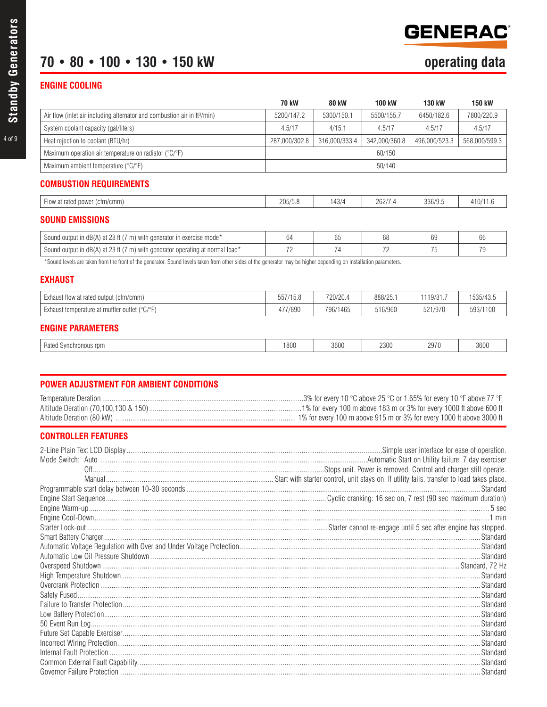## **GENERAC**

## 70 • 80 • 100 • 130 • 150 kW

### **ENGINE COOLING**

|                                                                                                                                                                   | <b>70 kW</b>  | <b>80 kW</b>  | 100 kW        | <b>130 kW</b> | <b>150 kW</b> |
|-------------------------------------------------------------------------------------------------------------------------------------------------------------------|---------------|---------------|---------------|---------------|---------------|
| Air flow (inlet air including alternator and combustion air in ft <sup>3</sup> /min)                                                                              | 5200/147.2    | 5300/150.1    | 5500/155.7    | 6450/182.6    | 7800/220.9    |
| System coolant capacity (gal/liters)                                                                                                                              | 4.5/17        | 4/15.1        | 4.5/17        | 4.5/17        | 4.5/17        |
| Heat rejection to coolant (BTU/hr)                                                                                                                                | 287,000/302.8 | 316,000/333.4 | 342,000/360.8 | 496,000/523.3 | 568,000/599.3 |
| Maximum operation air temperature on radiator ( ${}^{\circ}C/{}^{\circ}F$ )                                                                                       | 60/150        |               |               |               |               |
| Maximum ambient temperature (°C/°F)                                                                                                                               |               |               | 50/140        |               |               |
| <b>COMBUSTION REQUIREMENTS</b>                                                                                                                                    |               |               |               |               |               |
| Flow at rated power (cfm/cmm)                                                                                                                                     | 205/5.8       | 143/4         | 262/7.4       | 336/9.5       | 410/11.6      |
| <b>SOUND EMISSIONS</b>                                                                                                                                            |               |               |               |               |               |
| Sound output in dB(A) at 23 ft (7 m) with generator in exercise mode*                                                                                             | 64            | 65            | 68            | 69            | 66            |
| Sound output in dB(A) at 23 ft (7 m) with generator operating at normal load*                                                                                     | 72            | 74            | 72            | 75            | 79            |
| *Sound levels are taken from the front of the generator. Sound levels taken from other sides of the generator may be higher depending on installation parameters. |               |               |               |               |               |
| <b>EXHAUST</b>                                                                                                                                                    |               |               |               |               |               |
| Exhaust flow at rated output (cfm/cmm)                                                                                                                            | 557/15.8      | 720/20.4      | 888/25.1      | 1119/31.7     | 1535/43.5     |
| Exhaust temperature at muffler outlet ( ${}^{\circ}C/{}^{\circ}F$ )                                                                                               | 477/890       | 796/1465      | 516/960       | 521/970       | 593/1100      |

#### **ENGINE PARAMETERS**

|  | $\sim$<br>Rated<br>nchronous rpm | 1800 | 3600 | 2300 | 0070<br>ال ہے۔<br>. | 3600 |
|--|----------------------------------|------|------|------|---------------------|------|
|--|----------------------------------|------|------|------|---------------------|------|

| 3% for every 10 °C above 25 °C or 1.65% for every 10 °F above 77 °F  |
|----------------------------------------------------------------------|
|                                                                      |
| 1% for every 100 m above 915 m or 3% for every 1000 ft above 3000 ft |

### **CONTROLLER FEATURES**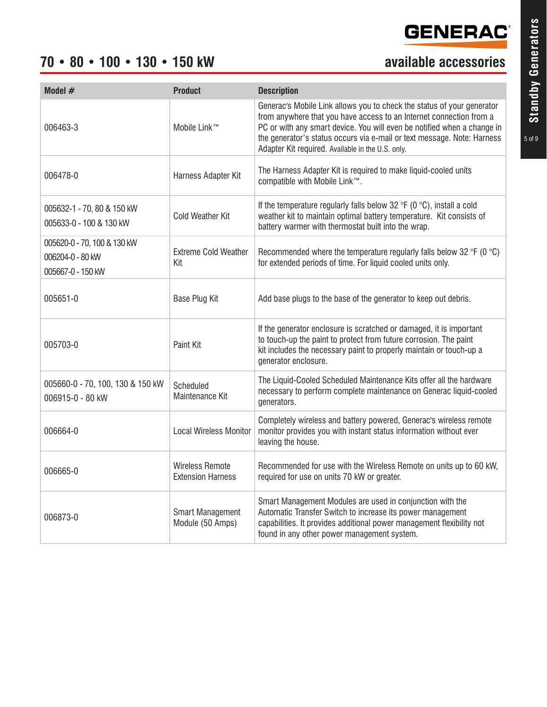### **70 • 80 • 100 • 130 • 150 kW available accessories**

| Model $#$                                                            | <b>Product</b>                                     | <b>Description</b>                                                                                                                                                                                                                                                                                                                                       |
|----------------------------------------------------------------------|----------------------------------------------------|----------------------------------------------------------------------------------------------------------------------------------------------------------------------------------------------------------------------------------------------------------------------------------------------------------------------------------------------------------|
| 006463-3                                                             | Mobile Link™                                       | Generac's Mobile Link allows you to check the status of your generator<br>from anywhere that you have access to an Internet connection from a<br>PC or with any smart device. You will even be notified when a change in<br>the generator's status occurs via e-mail or text message. Note: Harness<br>Adapter Kit required. Available in the U.S. only. |
| 006478-0                                                             | Harness Adapter Kit                                | The Harness Adapter Kit is required to make liquid-cooled units<br>compatible with Mobile Link™.                                                                                                                                                                                                                                                         |
| 005632-1 - 70, 80 & 150 kW<br>005633-0 - 100 & 130 kW                | <b>Cold Weather Kit</b>                            | If the temperature regularly falls below 32 $\degree$ F (0 $\degree$ C), install a cold<br>weather kit to maintain optimal battery temperature. Kit consists of<br>battery warmer with thermostat built into the wrap.                                                                                                                                   |
| 005620-0 - 70, 100 & 130 kW<br>006204-0 - 80 kW<br>005667-0 - 150 kW | <b>Extreme Cold Weather</b><br>Kit                 | Recommended where the temperature regularly falls below 32 $\degree$ F (0 $\degree$ C)<br>for extended periods of time. For liquid cooled units only.                                                                                                                                                                                                    |
| 005651-0                                                             | Base Plug Kit                                      | Add base plugs to the base of the generator to keep out debris.                                                                                                                                                                                                                                                                                          |
| 005703-0                                                             | Paint Kit                                          | If the generator enclosure is scratched or damaged, it is important<br>to touch-up the paint to protect from future corrosion. The paint<br>kit includes the necessary paint to properly maintain or touch-up a<br>generator enclosure.                                                                                                                  |
| 005660-0 - 70, 100, 130 & 150 kW<br>006915-0 - 80 kW                 | Scheduled<br>Maintenance Kit                       | The Liquid-Cooled Scheduled Maintenance Kits offer all the hardware<br>necessary to perform complete maintenance on Generac liquid-cooled<br>generators.                                                                                                                                                                                                 |
| 006664-0                                                             | <b>Local Wireless Monitor</b>                      | Completely wireless and battery powered, Generac's wireless remote<br>monitor provides you with instant status information without ever<br>leaving the house.                                                                                                                                                                                            |
| 006665-0                                                             | <b>Wireless Remote</b><br><b>Extension Harness</b> | Recommended for use with the Wireless Remote on units up to 60 kW,<br>required for use on units 70 kW or greater.                                                                                                                                                                                                                                        |
| 006873-0                                                             | <b>Smart Management</b><br>Module (50 Amps)        | Smart Management Modules are used in conjunction with the<br>Automatic Transfer Switch to increase its power management<br>capabilities. It provides additional power management flexibility not<br>found in any other power management system.                                                                                                          |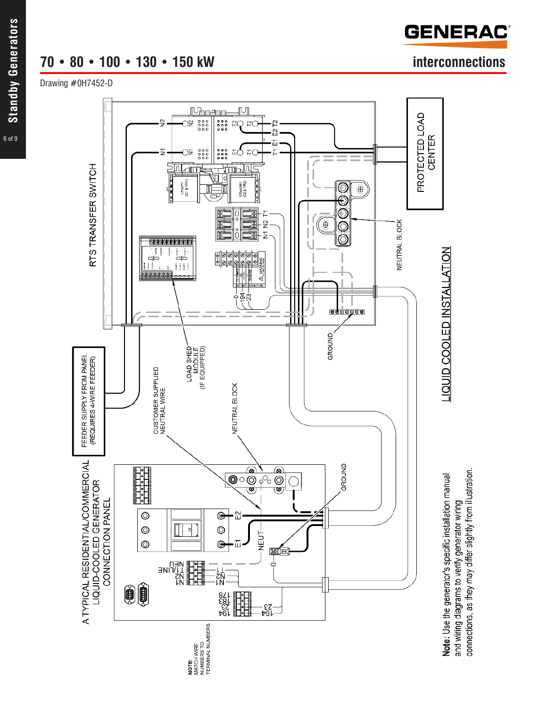### **70 • 80 • 100 • 130 • 150 kW interconnections**

Drawing #0H7452-D



**GENERAC**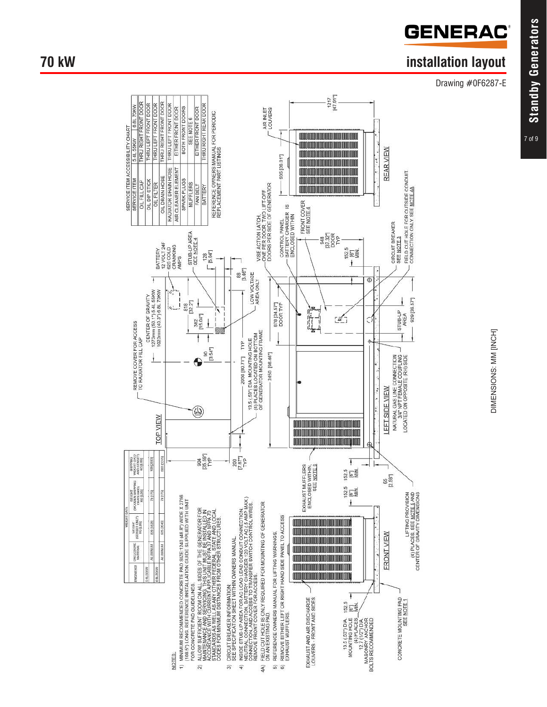

### **70 kW** installation layout

Drawing #0F6287-E



DIMENSIONS: MM [INCH] DIMENSIONS: MM [INCH]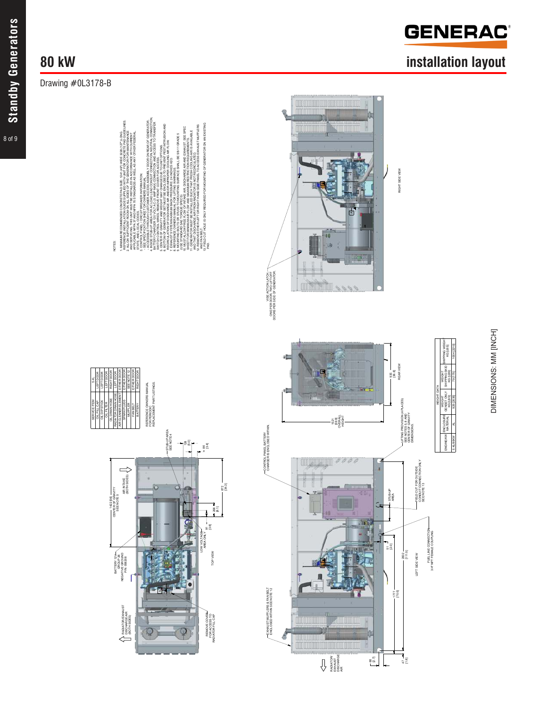8 of 9

### Drawing #0L3178-B

## **80 kW installation layout**

DIMENSIONS: MM [INCH]

DIMENSIONS: MM [INCH]